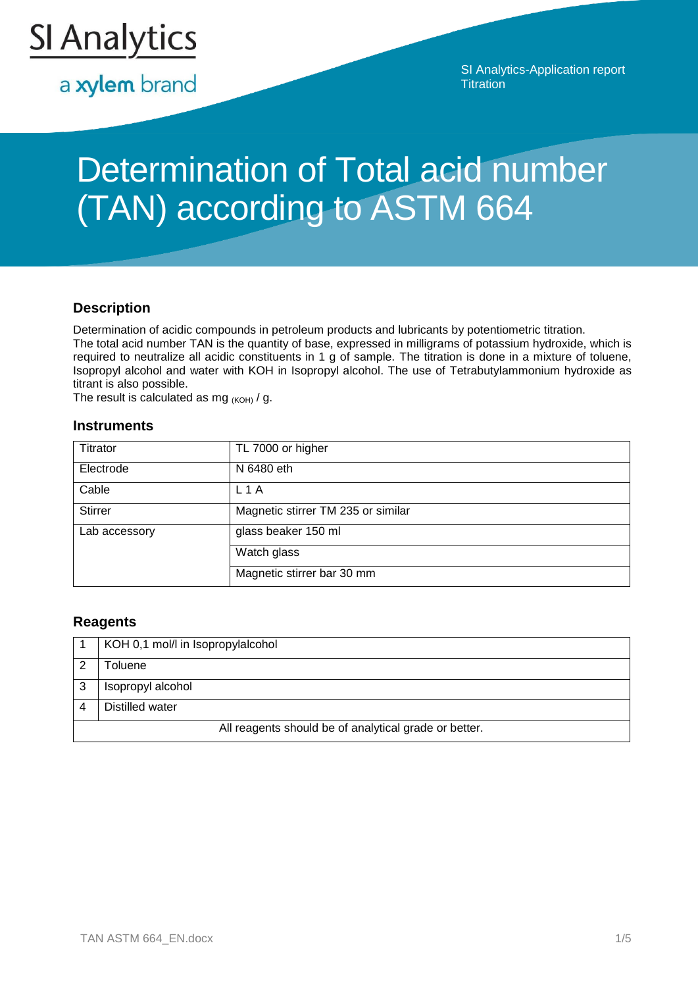

a xylem brand

SI Analytics-Application report **Titration** 

# Determination of Total acid number (TAN) according to ASTM 664

### **Description**

Determination of acidic compounds in petroleum products and lubricants by potentiometric titration. The total acid number TAN is the quantity of base, expressed in milligrams of potassium hydroxide, which is required to neutralize all acidic constituents in 1 g of sample. The titration is done in a mixture of toluene, Isopropyl alcohol and water with KOH in Isopropyl alcohol. The use of Tetrabutylammonium hydroxide as titrant is also possible.

The result is calculated as mg  $(KOH)$  / g.

#### **Instruments**

| Titrator       | TL 7000 or higher                  |
|----------------|------------------------------------|
| Electrode      | N 6480 eth                         |
| Cable          | L1A                                |
| <b>Stirrer</b> | Magnetic stirrer TM 235 or similar |
| Lab accessory  | glass beaker 150 ml                |
|                | Watch glass                        |
|                | Magnetic stirrer bar 30 mm         |

#### **Reagents**

|                                                       | KOH 0,1 mol/l in Isopropylalcohol |  |
|-------------------------------------------------------|-----------------------------------|--|
|                                                       | <b>Toluene</b>                    |  |
| 3                                                     | Isopropyl alcohol                 |  |
|                                                       | Distilled water                   |  |
| All reagents should be of analytical grade or better. |                                   |  |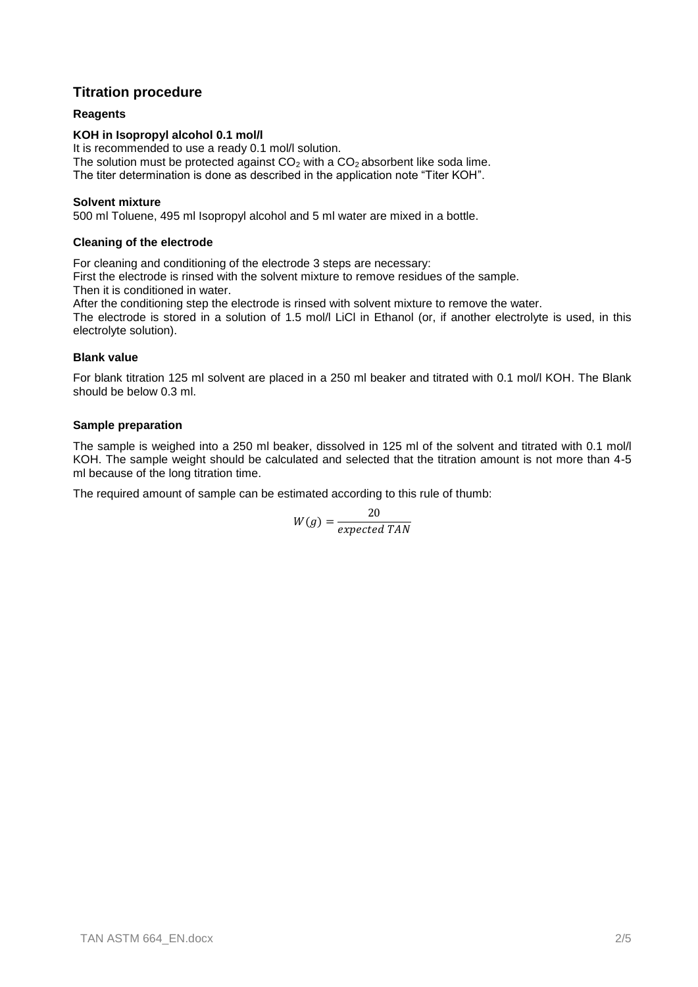# **Titration procedure**

#### **Reagents**

#### **KOH in Isopropyl alcohol 0.1 mol/l**

It is recommended to use a ready 0.1 mol/l solution. The solution must be protected against  $CO<sub>2</sub>$  with a  $CO<sub>2</sub>$  absorbent like soda lime. The titer determination is done as described in the application note "Titer KOH".

#### **Solvent mixture**

500 ml Toluene, 495 ml Isopropyl alcohol and 5 ml water are mixed in a bottle.

#### **Cleaning of the electrode**

For cleaning and conditioning of the electrode 3 steps are necessary: First the electrode is rinsed with the solvent mixture to remove residues of the sample.

Then it is conditioned in water.

After the conditioning step the electrode is rinsed with solvent mixture to remove the water.

The electrode is stored in a solution of 1.5 mol/l LiCl in Ethanol (or, if another electrolyte is used, in this electrolyte solution).

#### **Blank value**

For blank titration 125 ml solvent are placed in a 250 ml beaker and titrated with 0.1 mol/l KOH. The Blank should be below 0.3 ml.

#### **Sample preparation**

The sample is weighed into a 250 ml beaker, dissolved in 125 ml of the solvent and titrated with 0.1 mol/l KOH. The sample weight should be calculated and selected that the titration amount is not more than 4-5 ml because of the long titration time.

The required amount of sample can be estimated according to this rule of thumb:

$$
W(g) = \frac{20}{expected\;TAN}
$$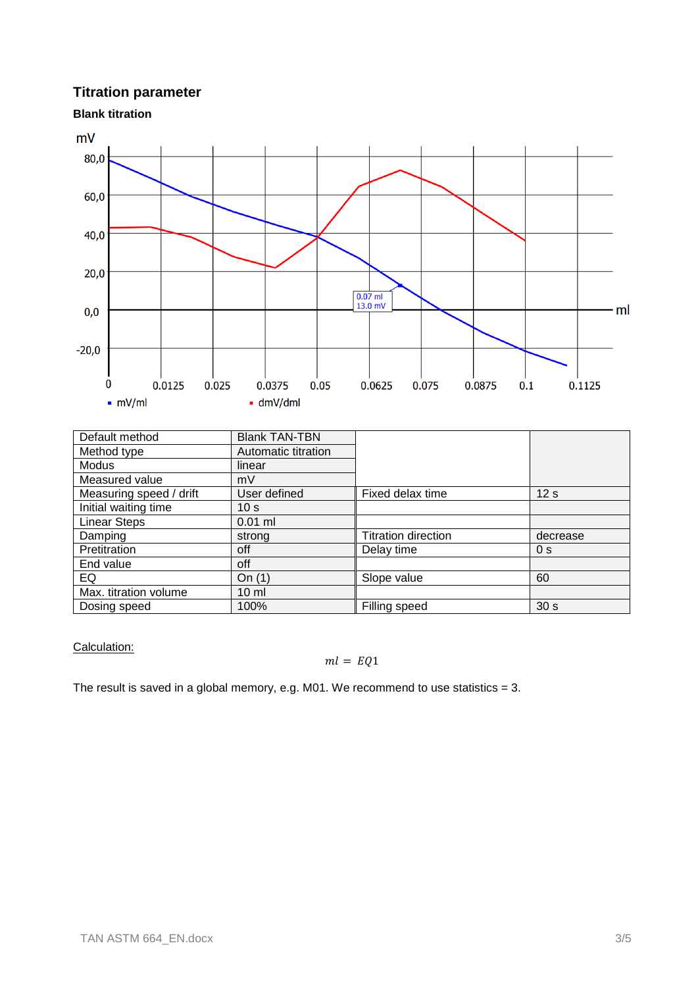# **Titration parameter**

#### **Blank titration**



| Default method          | <b>Blank TAN-TBN</b> |                            |                 |
|-------------------------|----------------------|----------------------------|-----------------|
| Method type             | Automatic titration  |                            |                 |
| Modus                   | linear               |                            |                 |
| Measured value          | mV                   |                            |                 |
| Measuring speed / drift | User defined         | Fixed delax time           | 12 <sub>s</sub> |
| Initial waiting time    | 10 <sub>s</sub>      |                            |                 |
| <b>Linear Steps</b>     | $0.01$ ml            |                            |                 |
| Damping                 | strong               | <b>Titration direction</b> | decrease        |
| Pretitration            | off                  | Delay time                 | 0 <sub>s</sub>  |
| End value               | off                  |                            |                 |
| EQ                      | On(1)                | Slope value                | 60              |
| Max. titration volume   | $10 \mathrm{m}$      |                            |                 |
| Dosing speed            | 100%                 | Filling speed              | 30 <sub>s</sub> |

Calculation:

#### $ml = EQ1$

The result is saved in a global memory, e.g. M01. We recommend to use statistics  $= 3$ .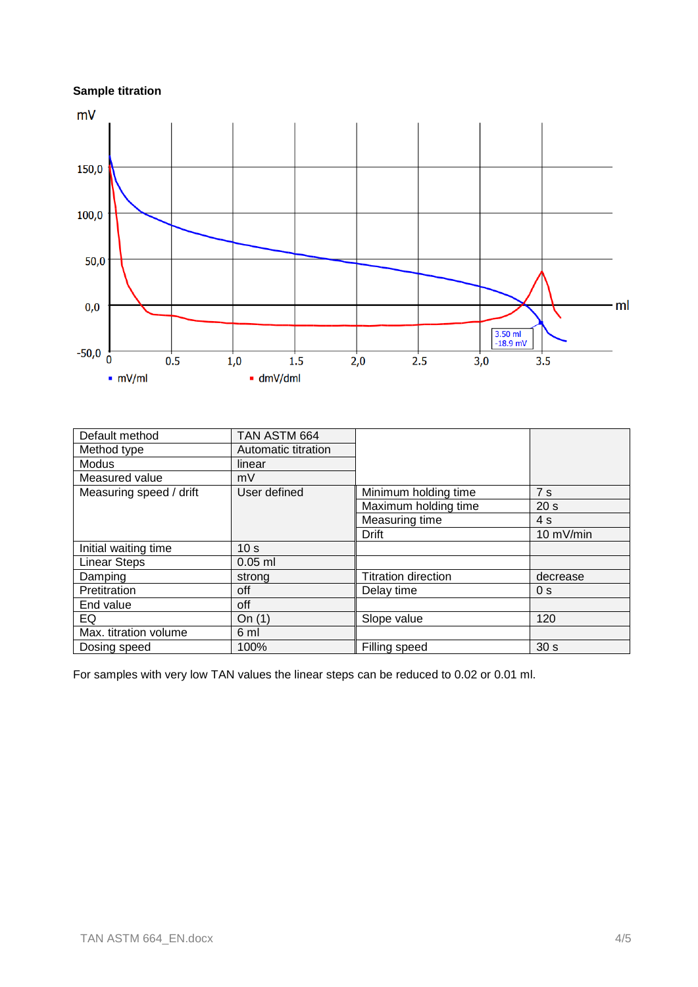# **Sample titration**



| Default method          | TAN ASTM 664        |                            |                 |
|-------------------------|---------------------|----------------------------|-----------------|
| Method type             | Automatic titration |                            |                 |
| <b>Modus</b>            | linear              |                            |                 |
| Measured value          | mV                  |                            |                 |
| Measuring speed / drift | User defined        | Minimum holding time       | 7s              |
|                         |                     | Maximum holding time       | 20 <sub>s</sub> |
|                         |                     | Measuring time             | 4s              |
|                         |                     | <b>Drift</b>               | 10 mV/min       |
| Initial waiting time    | 10 <sub>s</sub>     |                            |                 |
| <b>Linear Steps</b>     | $0.05$ ml           |                            |                 |
| Damping                 | strong              | <b>Titration direction</b> | decrease        |
| Pretitration            | off                 | Delay time                 | 0 <sub>s</sub>  |
| End value               | off                 |                            |                 |
| EQ                      | On $(1)$            | Slope value                | 120             |
| Max. titration volume   | 6 ml                |                            |                 |
| Dosing speed            | 100%                | Filling speed              | 30 <sub>s</sub> |

For samples with very low TAN values the linear steps can be reduced to 0.02 or 0.01 ml.